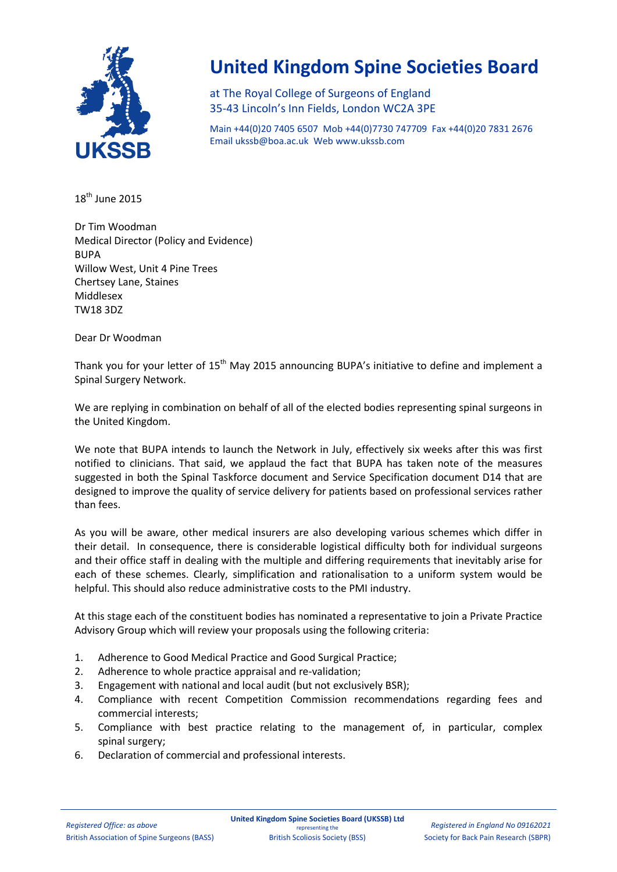

## **United Kingdom Spine Societies Board**

at The Royal College of Surgeons of England 35-43 Lincoln's Inn Fields, London WC2A 3PE

Main +44(0)20 7405 6507 Mob +44(0)7730 747709 Fax +44(0)20 7831 2676 Email [ukssb@boa.ac.uk](mailto:ukssb@boa.ac.uk) Web www.ukssb.com

18<sup>th</sup> June 2015

Dr Tim Woodman Medical Director (Policy and Evidence) BUPA Willow West, Unit 4 Pine Trees Chertsey Lane, Staines Middlesex TW18 3DZ

Dear Dr Woodman

Thank you for your letter of  $15<sup>th</sup>$  May 2015 announcing BUPA's initiative to define and implement a Spinal Surgery Network.

We are replying in combination on behalf of all of the elected bodies representing spinal surgeons in the United Kingdom.

We note that BUPA intends to launch the Network in July, effectively six weeks after this was first notified to clinicians. That said, we applaud the fact that BUPA has taken note of the measures suggested in both the Spinal Taskforce document and Service Specification document D14 that are designed to improve the quality of service delivery for patients based on professional services rather than fees.

As you will be aware, other medical insurers are also developing various schemes which differ in their detail. In consequence, there is considerable logistical difficulty both for individual surgeons and their office staff in dealing with the multiple and differing requirements that inevitably arise for each of these schemes. Clearly, simplification and rationalisation to a uniform system would be helpful. This should also reduce administrative costs to the PMI industry.

At this stage each of the constituent bodies has nominated a representative to join a Private Practice Advisory Group which will review your proposals using the following criteria:

- 1. Adherence to Good Medical Practice and Good Surgical Practice;
- 2. Adherence to whole practice appraisal and re-validation;
- 3. Engagement with national and local audit (but not exclusively BSR);
- 4. Compliance with recent Competition Commission recommendations regarding fees and commercial interests;
- 5. Compliance with best practice relating to the management of, in particular, complex spinal surgery;
- 6. Declaration of commercial and professional interests.